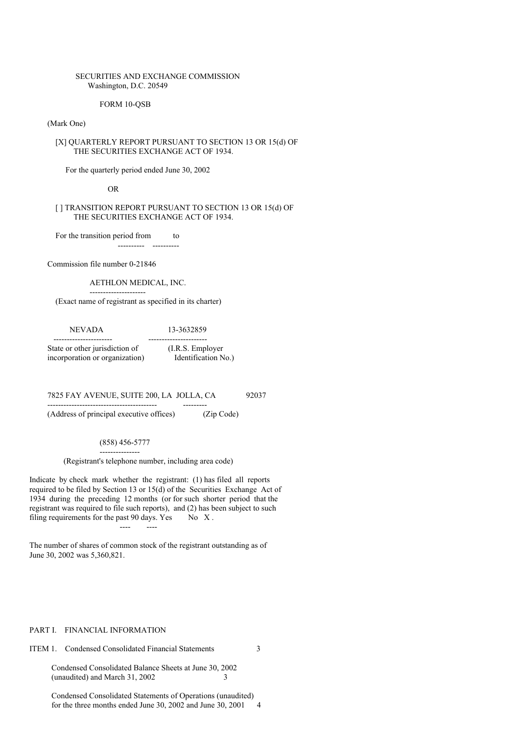### SECURITIES AND EXCHANGE COMMISSION Washington, D.C. 20549

#### FORM 10-QSB

## (Mark One)

## [X] QUARTERLY REPORT PURSUANT TO SECTION 13 OR 15(d) OF THE SECURITIES EXCHANGE ACT OF 1934.

For the quarterly period ended June 30, 2002

OR

### [ ] TRANSITION REPORT PURSUANT TO SECTION 13 OR 15(d) OF THE SECURITIES EXCHANGE ACT OF 1934.

For the transition period from to

Commission file number 0-21846

---------------------

# AETHLON MEDICAL, INC.

---------- ----------

(Exact name of registrant as specified in its charter)

| <b>NEVADA</b>                  | 13-3632859          |  |  |
|--------------------------------|---------------------|--|--|
|                                |                     |  |  |
| State or other jurisdiction of | (I.R.S. Employer)   |  |  |
| incorporation or organization) | Identification No.) |  |  |

7825 FAY AVENUE, SUITE 200, LA JOLLA, CA 92037

(Address of principal executive offices) (Zip Code)

(858) 456-5777 ---------------

----------------------------------------- ---------

(Registrant's telephone number, including area code)

Indicate by check mark whether the registrant: (1) has filed all reports required to be filed by Section 13 or 15(d) of the Securities Exchange Act of 1934 during the preceding 12 months (or for such shorter period that the registrant was required to file such reports), and (2) has been subject to such filing requirements for the past  $90 \text{ days}$ . Yes No X.

The number of shares of common stock of the registrant outstanding as of June 30, 2002 was 5,360,821.

---- ----

### PART I. FINANCIAL INFORMATION

## ITEM 1. Condensed Consolidated Financial Statements 3

Condensed Consolidated Balance Sheets at June 30, 2002 (unaudited) and March 31, 2002 3

Condensed Consolidated Statements of Operations (unaudited) for the three months ended June 30, 2002 and June 30, 2001 4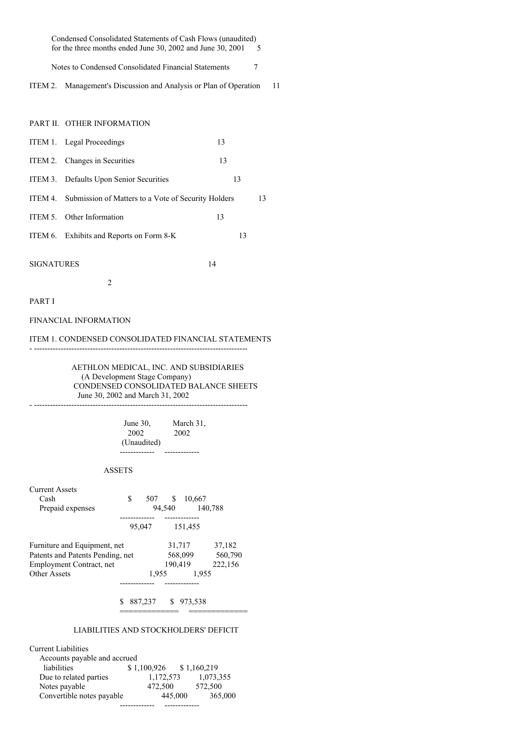Condensed Consolidated Statements of Cash Flows (unaudited) for the three months ended June 30, 2002 and June 30, 2001 5

Notes to Condensed Consolidated Financial Statements 7

ITEM 2. Management's Discussion and Analysis or Plan of Operation 11

PART II. OTHER INFORMATION

|         | ITEM 1. Legal Proceedings                           | 13 |    |
|---------|-----------------------------------------------------|----|----|
|         | ITEM 2. Changes in Securities                       | 13 |    |
|         | ITEM 3. Defaults Upon Senior Securities             | 13 |    |
| ITEM 4. | Submission of Matters to a Vote of Security Holders |    | 13 |
|         | ITEM 5. Other Information                           | 13 |    |
|         | ITEM 6. Exhibits and Reports on Form 8-K            | 13 |    |
|         |                                                     |    |    |

SIGNATURES 14

PART I

FINANCIAL INFORMATION

2

# ITEM 1. CONDENSED CONSOLIDATED FINANCIAL STATEMENTS

- --------------------------------------------------------------------------------

AETHLON MEDICAL, INC. AND SUBSIDIARIES (A Development Stage Company) CONDENSED CONSOLIDATED BALANCE SHEETS June 30, 2002 and March 31, 2002

- --------------------------------------------------------------------------------

June 30, March 31, 2002 2002 (Unaudited) ------------- -------------

#### ASSETS

| Current Assets<br>Cash<br>Prepaid expenses                                                   | \$ | 507     | S.<br>94,540 | 10,667                       | 140,788                      |
|----------------------------------------------------------------------------------------------|----|---------|--------------|------------------------------|------------------------------|
|                                                                                              |    | 95,047  |              | ---------<br>151,455         |                              |
| Furniture and Equipment, net<br>Patents and Patents Pending, net<br>Employment Contract, net |    |         |              | 31,717<br>568,099<br>190,419 | 37,182<br>560,790<br>222,156 |
| Other Assets                                                                                 |    |         | 1.955        | 1.955                        |                              |
|                                                                                              | S  | 887,237 |              | \$973,538                    |                              |

## LIABILITIES AND STOCKHOLDERS' DEFICIT

| <b>Current Liabilities</b>   |             |             |
|------------------------------|-------------|-------------|
| Accounts payable and accrued |             |             |
| liabilities                  | \$1,100,926 | \$1,160,219 |
| Due to related parties       | 1,172,573   | 1,073,355   |
| Notes payable                | 472,500     | 572,500     |
| Convertible notes payable    | 445,000     | 365,000     |
|                              |             |             |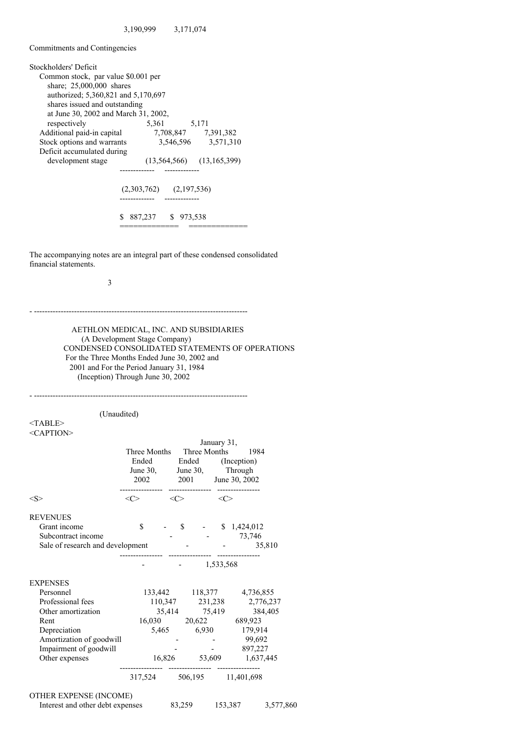Commitments and Contingencies

| Stockholders' Deficit                |                                   |
|--------------------------------------|-----------------------------------|
| Common stock, par value \$0.001 per  |                                   |
| share; 25,000,000 shares             |                                   |
| authorized: 5,360,821 and 5,170,697  |                                   |
| shares issued and outstanding        |                                   |
| at June 30, 2002 and March 31, 2002, |                                   |
| respectively                         | 5,171<br>5,361                    |
| Additional paid-in capital           | 7,708,847 7,391,382               |
| Stock options and warrants           | 3,546,596 3,571,310               |
| Deficit accumulated during           |                                   |
| development stage                    | $(13, 564, 566)$ $(13, 165, 399)$ |
|                                      |                                   |
|                                      |                                   |
|                                      | $(2,303,762)$ $(2,197,536)$       |
|                                      |                                   |
|                                      |                                   |
| S                                    | 887,237 \$ 973,538                |
|                                      |                                   |

The accompanying notes are an integral part of these condensed consolidated financial statements.

3

- --------------------------------------------------------------------------------

AETHLON MEDICAL, INC. AND SUBSIDIARIES (A Development Stage Company) CONDENSED CONSOLIDATED STATEMENTS OF OPERATIONS For the Three Months Ended June 30, 2002 and 2001 and For the Period January 31, 1984 (Inception) Through June 30, 2002

- -------------------------------------------------------------------------------- (Unaudited) <TABLE> <CAPTION> January 31, Three Months Three Months 1984 Ended Ended (Inception) June 30, June 30, Through 2002 2001 June 30, 2002 ----------------- --------------- $\langle S \rangle$   $\langle C \rangle$   $\langle C \rangle$   $\langle C \rangle$ REVENUES Grant income  $\qquad \qquad$  \$ - \$ 1,424,012 Subcontract income  $-$  73,746 Sale of research and development -  $35,810$ ---------------- ---------------- ---------------- - - 1,533,568 EXPENSES Personnel 133,442 118,377 4,736,855 Professional fees 110,347 231,238 2,776,237 Other amortization 35,414 75,419 384,405 Rent 16,030 20,622 689,923 Depreciation 5,465 6,930 179,914 Amortization of goodwill<br>Impairment of goodwill<br> $\qquad \qquad -$  - 99,692<br>897,227 Impairment of goodwill **-**  $\qquad$  -Other expenses 16,826 53,609 1,637,445 ---------------- ---------------- ---------------- 317,524 506,195 11,401,698 OTHER EXPENSE (INCOME)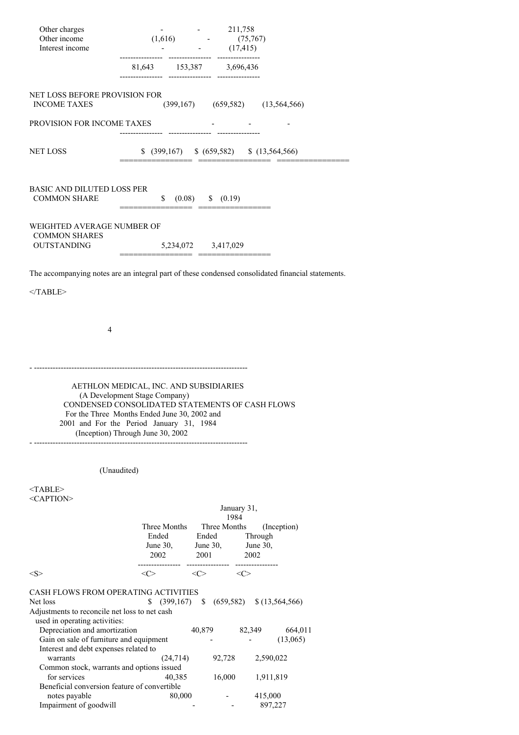| Other charges                                                                  |                                                                                                                                                                                                                                                             | $-211,758$                                                  |                                                                                                   |  |
|--------------------------------------------------------------------------------|-------------------------------------------------------------------------------------------------------------------------------------------------------------------------------------------------------------------------------------------------------------|-------------------------------------------------------------|---------------------------------------------------------------------------------------------------|--|
| Other income                                                                   |                                                                                                                                                                                                                                                             | $(1,616)$ $(75,767)$<br>$(17,415)$                          |                                                                                                   |  |
| Interest income                                                                |                                                                                                                                                                                                                                                             |                                                             |                                                                                                   |  |
|                                                                                | $81,643 \qquad \quad 153,387 \qquad \quad 3,696,436$                                                                                                                                                                                                        |                                                             |                                                                                                   |  |
| NET LOSS BEFORE PROVISION FOR<br><b>INCOME TAXES</b>                           |                                                                                                                                                                                                                                                             |                                                             | $(399,167)$ $(659,582)$ $(13,564,566)$                                                            |  |
| PROVISION FOR INCOME TAXES                                                     |                                                                                                                                                                                                                                                             |                                                             |                                                                                                   |  |
|                                                                                |                                                                                                                                                                                                                                                             |                                                             |                                                                                                   |  |
| <b>NET LOSS</b>                                                                |                                                                                                                                                                                                                                                             |                                                             | $$$ (399,167) $$$ (659,582) $$$ (13,564,566)                                                      |  |
| BASIC AND DILUTED LOSS PER<br><b>COMMON SHARE</b>                              |                                                                                                                                                                                                                                                             | $(0.08)$ \$ $(0.19)$                                        |                                                                                                   |  |
|                                                                                |                                                                                                                                                                                                                                                             |                                                             |                                                                                                   |  |
| WEIGHTED AVERAGE NUMBER OF<br><b>COMMON SHARES</b>                             |                                                                                                                                                                                                                                                             |                                                             |                                                                                                   |  |
| OUTSTANDING 5,234,072 3,417,029                                                | ==================================                                                                                                                                                                                                                          |                                                             |                                                                                                   |  |
|                                                                                |                                                                                                                                                                                                                                                             |                                                             | The accompanying notes are an integral part of these condensed consolidated financial statements. |  |
| $<$ TABLE>                                                                     |                                                                                                                                                                                                                                                             |                                                             |                                                                                                   |  |
|                                                                                |                                                                                                                                                                                                                                                             |                                                             |                                                                                                   |  |
|                                                                                |                                                                                                                                                                                                                                                             |                                                             |                                                                                                   |  |
| 4                                                                              |                                                                                                                                                                                                                                                             |                                                             |                                                                                                   |  |
|                                                                                |                                                                                                                                                                                                                                                             |                                                             |                                                                                                   |  |
|                                                                                |                                                                                                                                                                                                                                                             |                                                             |                                                                                                   |  |
|                                                                                | AETHLON MEDICAL, INC. AND SUBSIDIARIES<br>(A Development Stage Company)<br>CONDENSED CONSOLIDATED STATEMENTS OF CASH FLOWS<br>For the Three Months Ended June 30, 2002 and<br>2001 and For the Period January 31, 1984<br>(Inception) Through June 30, 2002 |                                                             |                                                                                                   |  |
|                                                                                |                                                                                                                                                                                                                                                             |                                                             |                                                                                                   |  |
|                                                                                | (Unaudited)                                                                                                                                                                                                                                                 |                                                             |                                                                                                   |  |
| $<$ TABLE>                                                                     |                                                                                                                                                                                                                                                             |                                                             |                                                                                                   |  |
| <caption></caption>                                                            |                                                                                                                                                                                                                                                             | January 31,                                                 |                                                                                                   |  |
|                                                                                | Three Months                                                                                                                                                                                                                                                | 1984<br>Three Months                                        | (Inception)                                                                                       |  |
|                                                                                | Ended                                                                                                                                                                                                                                                       | Ended                                                       | Through                                                                                           |  |
|                                                                                | 2002                                                                                                                                                                                                                                                        | June 30, June 30, June 30,<br>2001                          | 2002                                                                                              |  |
| $<$ S>                                                                         |                                                                                                                                                                                                                                                             | $\langle C \rangle$ $\langle C \rangle$ $\langle C \rangle$ |                                                                                                   |  |
|                                                                                |                                                                                                                                                                                                                                                             |                                                             |                                                                                                   |  |
| CASH FLOWS FROM OPERATING ACTIVITIES<br>Net loss                               |                                                                                                                                                                                                                                                             |                                                             | $$$ (399,167) $$$ (659,582) $$$ (13,564,566)                                                      |  |
| Adjustments to reconcile net loss to net cash<br>used in operating activities: |                                                                                                                                                                                                                                                             |                                                             |                                                                                                   |  |
| Depreciation and amortization<br>Gain on sale of furniture and equipment       |                                                                                                                                                                                                                                                             |                                                             | 40,879 82,349 664,011<br>All Controller                                                           |  |
| Interest and debt expenses related to                                          |                                                                                                                                                                                                                                                             |                                                             | (13,065)                                                                                          |  |
| warrants                                                                       | (24, 714)                                                                                                                                                                                                                                                   | 92,728                                                      | 2,590,022                                                                                         |  |
| Common stock, warrants and options issued<br>for services                      | 40,385                                                                                                                                                                                                                                                      | 16,000                                                      | 1,911,819                                                                                         |  |
| Beneficial conversion feature of convertible<br>notes payable                  | 80,000                                                                                                                                                                                                                                                      |                                                             | 415,000                                                                                           |  |
| Impairment of goodwill                                                         |                                                                                                                                                                                                                                                             |                                                             | 897,227                                                                                           |  |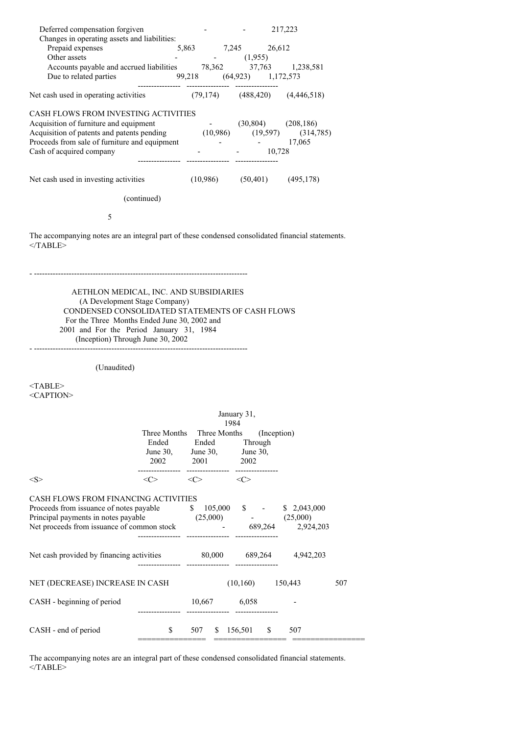| Deferred compensation forgiven<br>Changes in operating assets and liabilities:<br>Prepaid expenses 5,863 7,245 26,612<br>Other assets - (1,955)                                                                                                                                          |                  |                                                                                                                      | $-217,223$         |     |
|------------------------------------------------------------------------------------------------------------------------------------------------------------------------------------------------------------------------------------------------------------------------------------------|------------------|----------------------------------------------------------------------------------------------------------------------|--------------------|-----|
| Accounts payable and accrued liabilities $78,362$ $37,763$ $1,238,581$                                                                                                                                                                                                                   |                  |                                                                                                                      |                    |     |
| Net cash used in operating activities (79,174) (488,420) (4,446,518)                                                                                                                                                                                                                     |                  |                                                                                                                      |                    |     |
| CASH FLOWS FROM INVESTING ACTIVITIES<br>Acquisition of furniture and equipment<br>Acquisition of patents and patents pending<br>Proceeds from sale of furniture and equipment<br>Cash of acquired company<br>Cash of acquired company<br>Accused Acquired Company<br>Accused Acquired Co |                  |                                                                                                                      |                    |     |
| Net cash used in investing activities (10,986) (50,401) (495,178)                                                                                                                                                                                                                        |                  |                                                                                                                      |                    |     |
|                                                                                                                                                                                                                                                                                          | (continued)      |                                                                                                                      |                    |     |
| 5                                                                                                                                                                                                                                                                                        |                  |                                                                                                                      |                    |     |
| The accompanying notes are an integral part of these condensed consolidated financial statements.<br>$<$ /TABLE>                                                                                                                                                                         |                  |                                                                                                                      |                    |     |
| AETHLON MEDICAL, INC. AND SUBSIDIARIES<br>(A Development Stage Company)<br>CONDENSED CONSOLIDATED STATEMENTS OF CASH FLOWS<br>For the Three Months Ended June 30, 2002 and                                                                                                               |                  |                                                                                                                      |                    |     |
| 2001 and For the Period January 31, 1984<br>(Inception) Through June 30, 2002                                                                                                                                                                                                            |                  |                                                                                                                      |                    |     |
| (Unaudited)                                                                                                                                                                                                                                                                              |                  |                                                                                                                      |                    |     |
| <table><br/><caption></caption></table>                                                                                                                                                                                                                                                  |                  |                                                                                                                      |                    |     |
|                                                                                                                                                                                                                                                                                          |                  |                                                                                                                      | January 31,        |     |
|                                                                                                                                                                                                                                                                                          |                  | 1984<br>Three Months Three Months (Inception)<br>Ended Ended Through<br>June 30, June 30, June 30,<br>2002 2001 2002 |                    |     |
| $<\!\!S\!\!>$                                                                                                                                                                                                                                                                            |                  | $\langle C \rangle$ $\langle C \rangle$ $\langle C \rangle$                                                          |                    |     |
| CASH FLOWS FROM FINANCING ACTIVITIES<br>Proceeds from issuance of notes payable $\qquad \qquad$ \$ 105,000 \$ - \$ 2,043,000<br>Principal payments in notes payable<br>Net proceeds from issuance of common stock 689,264 2,924,203                                                      | ---------------- | $(25,000)$ - $(25,000)$<br>----------------- ----------------                                                        |                    |     |
| Net cash provided by financing activities 80,000 689,264 4,942,203                                                                                                                                                                                                                       |                  |                                                                                                                      |                    |     |
| NET (DECREASE) INCREASE IN CASH                                                                                                                                                                                                                                                          |                  |                                                                                                                      | $(10,160)$ 150,443 | 507 |
| CASH - beginning of period                                                                                                                                                                                                                                                               |                  | 10,667 6,058                                                                                                         |                    |     |

The accompanying notes are an integral part of these condensed consolidated financial statements. </TABLE>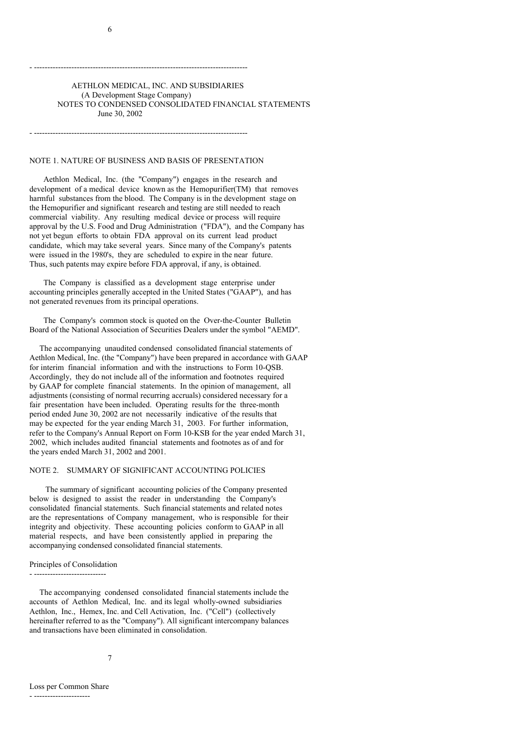## AETHLON MEDICAL, INC. AND SUBSIDIARIES (A Development Stage Company) NOTES TO CONDENSED CONSOLIDATED FINANCIAL STATEMENTS June 30, 2002

NOTE 1. NATURE OF BUSINESS AND BASIS OF PRESENTATION

- --------------------------------------------------------------------------------

- --------------------------------------------------------------------------------

Aethlon Medical, Inc. (the "Company") engages in the research and development of a medical device known as the Hemopurifier(TM) that removes harmful substances from the blood. The Company is in the development stage on the Hemopurifier and significant research and testing are still needed to reach commercial viability. Any resulting medical device or process will require approval by the U.S. Food and Drug Administration ("FDA"), and the Company has not yet begun efforts to obtain FDA approval on its current lead product candidate, which may take several years. Since many of the Company's patents were issued in the 1980's, they are scheduled to expire in the near future. Thus, such patents may expire before FDA approval, if any, is obtained.

The Company is classified as a development stage enterprise under accounting principles generally accepted in the United States ("GAAP"), and has not generated revenues from its principal operations.

The Company's common stock is quoted on the Over-the-Counter Bulletin Board of the National Association of Securities Dealers under the symbol "AEMD".

The accompanying unaudited condensed consolidated financial statements of Aethlon Medical, Inc. (the "Company") have been prepared in accordance with GAAP for interim financial information and with the instructions to Form 10-QSB. Accordingly, they do not include all of the information and footnotes required by GAAP for complete financial statements. In the opinion of management, all adjustments (consisting of normal recurring accruals) considered necessary for a fair presentation have been included. Operating results for the three-month period ended June 30, 2002 are not necessarily indicative of the results that may be expected for the year ending March 31, 2003. For further information, refer to the Company's Annual Report on Form 10-KSB for the year ended March 31, 2002, which includes audited financial statements and footnotes as of and for the years ended March 31, 2002 and 2001.

### NOTE 2. SUMMARY OF SIGNIFICANT ACCOUNTING POLICIES

The summary of significant accounting policies of the Company presented below is designed to assist the reader in understanding the Company's consolidated financial statements. Such financial statements and related notes are the representations of Company management, who is responsible for their integrity and objectivity. These accounting policies conform to GAAP in all material respects, and have been consistently applied in preparing the accompanying condensed consolidated financial statements.

Principles of Consolidation - ---------------------------

The accompanying condensed consolidated financial statements include the accounts of Aethlon Medical, Inc. and its legal wholly-owned subsidiaries Aethlon, Inc., Hemex, Inc. and Cell Activation, Inc. ("Cell") (collectively hereinafter referred to as the "Company"). All significant intercompany balances and transactions have been eliminated in consolidation.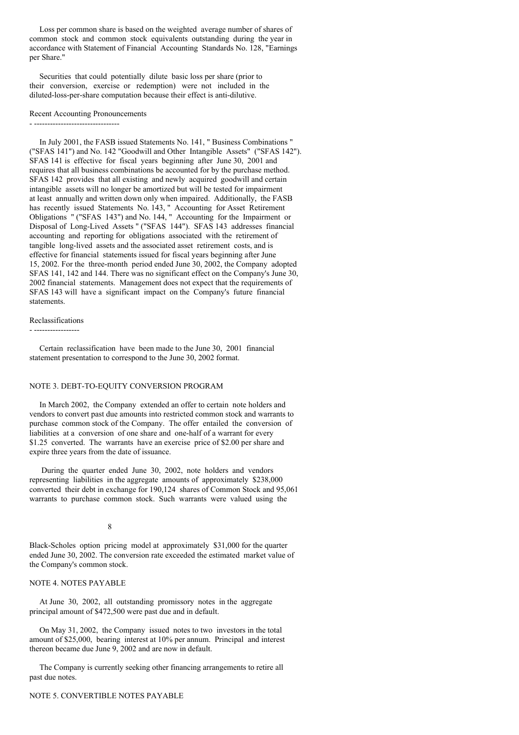Loss per common share is based on the weighted average number of shares of common stock and common stock equivalents outstanding during the year in accordance with Statement of Financial Accounting Standards No. 128, "Earnings per Share."

Securities that could potentially dilute basic loss per share (prior to their conversion, exercise or redemption) were not included in the diluted-loss-per-share computation because their effect is anti-dilutive.

#### Recent Accounting Pronouncements

- ---------------------------------

In July 2001, the FASB issued Statements No. 141, " Business Combinations " ("SFAS 141") and No. 142 "Goodwill and Other Intangible Assets" ("SFAS 142"). SFAS 141 is effective for fiscal years beginning after June 30, 2001 and requires that all business combinations be accounted for by the purchase method. SFAS 142 provides that all existing and newly acquired goodwill and certain intangible assets will no longer be amortized but will be tested for impairment at least annually and written down only when impaired. Additionally, the FASB has recently issued Statements No. 143, " Accounting for Asset Retirement Obligations " ("SFAS 143") and No. 144, " Accounting for the Impairment or Disposal of Long-Lived Assets " ("SFAS 144"). SFAS 143 addresses financial accounting and reporting for obligations associated with the retirement of tangible long-lived assets and the associated asset retirement costs, and is effective for financial statements issued for fiscal years beginning after June 15, 2002. For the three-month period ended June 30, 2002, the Company adopted SFAS 141, 142 and 144. There was no significant effect on the Company's June 30, 2002 financial statements. Management does not expect that the requirements of SFAS 143 will have a significant impact on the Company's future financial statements.

# Reclassifications

- -----------------

Certain reclassification have been made to the June 30, 2001 financial statement presentation to correspond to the June 30, 2002 format.

## NOTE 3. DEBT-TO-EQUITY CONVERSION PROGRAM

In March 2002, the Company extended an offer to certain note holders and vendors to convert past due amounts into restricted common stock and warrants to purchase common stock of the Company. The offer entailed the conversion of liabilities at a conversion of one share and one-half of a warrant for every \$1.25 converted. The warrants have an exercise price of \$2.00 per share and expire three years from the date of issuance.

During the quarter ended June 30, 2002, note holders and vendors representing liabilities in the aggregate amounts of approximately \$238,000 converted their debt in exchange for 190,124 shares of Common Stock and 95,061 warrants to purchase common stock. Such warrants were valued using the

8

Black-Scholes option pricing model at approximately \$31,000 for the quarter ended June 30, 2002. The conversion rate exceeded the estimated market value of the Company's common stock.

## NOTE 4. NOTES PAYABLE

At June 30, 2002, all outstanding promissory notes in the aggregate principal amount of \$472,500 were past due and in default.

On May 31, 2002, the Company issued notes to two investors in the total amount of \$25,000, bearing interest at 10% per annum. Principal and interest thereon became due June 9, 2002 and are now in default.

The Company is currently seeking other financing arrangements to retire all past due notes.

## NOTE 5. CONVERTIBLE NOTES PAYABLE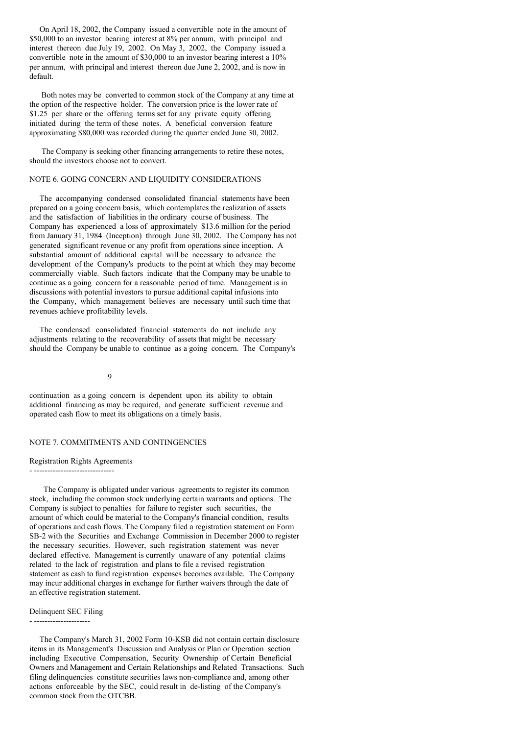On April 18, 2002, the Company issued a convertible note in the amount of \$50,000 to an investor bearing interest at 8% per annum, with principal and interest thereon due July 19, 2002. On May 3, 2002, the Company issued a convertible note in the amount of \$30,000 to an investor bearing interest a 10% per annum, with principal and interest thereon due June 2, 2002, and is now in default.

Both notes may be converted to common stock of the Company at any time at the option of the respective holder. The conversion price is the lower rate of  $$1.25$  per share or the offering terms set for any private equity offering initiated during the term of these notes. A beneficial conversion feature approximating \$80,000 was recorded during the quarter ended June 30, 2002.

The Company is seeking other financing arrangements to retire these notes, should the investors choose not to convert.

## NOTE 6. GOING CONCERN AND LIQUIDITY CONSIDERATIONS

The accompanying condensed consolidated financial statements have been prepared on a going concern basis, which contemplates the realization of assets and the satisfaction of liabilities in the ordinary course of business. The Company has experienced a loss of approximately \$13.6 million for the period from January 31, 1984 (Inception) through June 30, 2002. The Company has not generated significant revenue or any profit from operations since inception. A substantial amount of additional capital will be necessary to advance the development of the Company's products to the point at which they may become commercially viable. Such factors indicate that the Company may be unable to continue as a going concern for a reasonable period of time. Management is in discussions with potential investors to pursue additional capital infusions into the Company, which management believes are necessary until such time that revenues achieve profitability levels.

The condensed consolidated financial statements do not include any adjustments relating to the recoverability of assets that might be necessary should the Company be unable to continue as a going concern. The Company's

## 9

continuation as a going concern is dependent upon its ability to obtain additional financing as may be required, and generate sufficient revenue and operated cash flow to meet its obligations on a timely basis.

#### NOTE 7. COMMITMENTS AND CONTINGENCIES

## Registration Rights Agreements

- ------------------------------ The Company is obligated under various agreements to register its common stock, including the common stock underlying certain warrants and options. The Company is subject to penalties for failure to register such securities, the amount of which could be material to the Company's financial condition, results of operations and cash flows. The Company filed a registration statement on Form SB-2 with the Securities and Exchange Commission in December 2000 to register the necessary securities. However, such registration statement was never declared effective. Management is currently unaware of any potential claims related to the lack of registration and plans to file a revised registration statement as cash to fund registration expenses becomes available. The Company

may incur additional charges in exchange for further waivers through the date of

#### Delinquent SEC Filing

an effective registration statement.

- ---------------------

The Company's March 31, 2002 Form 10-KSB did not contain certain disclosure items in its Management's Discussion and Analysis or Plan or Operation section including Executive Compensation, Security Ownership of Certain Beneficial Owners and Management and Certain Relationships and Related Transactions. Such filing delinquencies constitute securities laws non-compliance and, among other actions enforceable by the SEC, could result in de-listing of the Company's common stock from the OTCBB.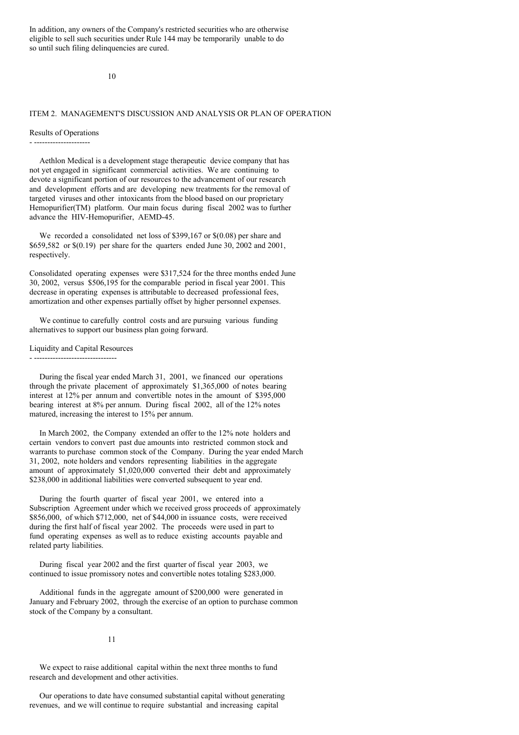In addition, any owners of the Company's restricted securities who are otherwise eligible to sell such securities under Rule 144 may be temporarily unable to do so until such filing delinquencies are cured.

10

## ITEM 2. MANAGEMENT'S DISCUSSION AND ANALYSIS OR PLAN OF OPERATION

#### Results of Operations

#### - ---------------------

Aethlon Medical is a development stage therapeutic device company that has not yet engaged in significant commercial activities. We are continuing to devote a significant portion of our resources to the advancement of our research and development efforts and are developing new treatments for the removal of targeted viruses and other intoxicants from the blood based on our proprietary Hemopurifier(TM) platform. Our main focus during fiscal 2002 was to further advance the HIV-Hemopurifier, AEMD-45.

We recorded a consolidated net loss of \$399,167 or \$(0.08) per share and \$659,582 or \$(0.19) per share for the quarters ended June 30, 2002 and 2001, respectively.

Consolidated operating expenses were \$317,524 for the three months ended June 30, 2002, versus \$506,195 for the comparable period in fiscal year 2001. This decrease in operating expenses is attributable to decreased professional fees, amortization and other expenses partially offset by higher personnel expenses.

We continue to carefully control costs and are pursuing various funding alternatives to support our business plan going forward.

#### Liquidity and Capital Resources

- -------------------------------

During the fiscal year ended March 31, 2001, we financed our operations through the private placement of approximately \$1,365,000 of notes bearing interest at 12% per annum and convertible notes in the amount of \$395,000 bearing interest at 8% per annum. During fiscal 2002, all of the 12% notes matured, increasing the interest to 15% per annum.

In March 2002, the Company extended an offer to the 12% note holders and certain vendors to convert past due amounts into restricted common stock and warrants to purchase common stock of the Company. During the year ended March 31, 2002, note holders and vendors representing liabilities in the aggregate amount of approximately \$1,020,000 converted their debt and approximately \$238,000 in additional liabilities were converted subsequent to year end.

During the fourth quarter of fiscal year 2001, we entered into a Subscription Agreement under which we received gross proceeds of approximately \$856,000, of which \$712,000, net of \$44,000 in issuance costs, were received during the first half of fiscal year 2002. The proceeds were used in part to fund operating expenses as well as to reduce existing accounts payable and related party liabilities.

During fiscal year 2002 and the first quarter of fiscal year 2003, we continued to issue promissory notes and convertible notes totaling \$283,000.

Additional funds in the aggregate amount of \$200,000 were generated in January and February 2002, through the exercise of an option to purchase common stock of the Company by a consultant.

#### 11

We expect to raise additional capital within the next three months to fund research and development and other activities.

Our operations to date have consumed substantial capital without generating revenues, and we will continue to require substantial and increasing capital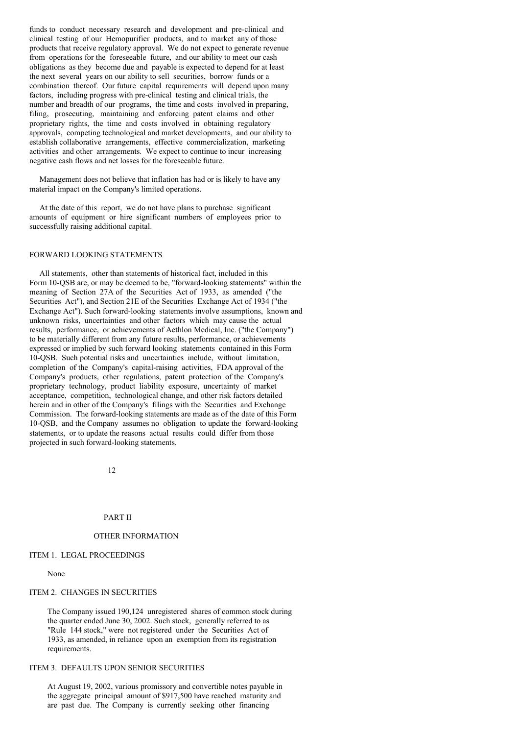funds to conduct necessary research and development and pre-clinical and clinical testing of our Hemopurifier products, and to market any of those products that receive regulatory approval. We do not expect to generate revenue from operations for the foreseeable future, and our ability to meet our cash obligations as they become due and payable is expected to depend for at least the next several years on our ability to sell securities, borrow funds or a combination thereof. Our future capital requirements will depend upon many factors, including progress with pre-clinical testing and clinical trials, the number and breadth of our programs, the time and costs involved in preparing, filing, prosecuting, maintaining and enforcing patent claims and other proprietary rights, the time and costs involved in obtaining regulatory approvals, competing technological and market developments, and our ability to establish collaborative arrangements, effective commercialization, marketing activities and other arrangements. We expect to continue to incur increasing negative cash flows and net losses for the foreseeable future.

Management does not believe that inflation has had or is likely to have any material impact on the Company's limited operations.

At the date of this report, we do not have plans to purchase significant amounts of equipment or hire significant numbers of employees prior to successfully raising additional capital.

## FORWARD LOOKING STATEMENTS

All statements, other than statements of historical fact, included in this Form 10-QSB are, or may be deemed to be, "forward-looking statements" within the meaning of Section 27A of the Securities Act of 1933, as amended ("the Securities Act"), and Section 21E of the Securities Exchange Act of 1934 ("the Exchange Act"). Such forward-looking statements involve assumptions, known and unknown risks, uncertainties and other factors which may cause the actual results, performance, or achievements of Aethlon Medical, Inc. ("the Company") to be materially different from any future results, performance, or achievements expressed or implied by such forward looking statements contained in this Form 10-QSB. Such potential risks and uncertainties include, without limitation, completion of the Company's capital-raising activities, FDA approval of the Company's products, other regulations, patent protection of the Company's proprietary technology, product liability exposure, uncertainty of market acceptance, competition, technological change, and other risk factors detailed herein and in other of the Company's filings with the Securities and Exchange Commission. The forward-looking statements are made as of the date of this Form 10-QSB, and the Company assumes no obligation to update the forward-looking statements, or to update the reasons actual results could differ from those projected in such forward-looking statements.

12

#### PART II

#### OTHER INFORMATION

## ITEM 1. LEGAL PROCEEDINGS

### None

#### ITEM 2. CHANGES IN SECURITIES

The Company issued 190,124 unregistered shares of common stock during the quarter ended June 30, 2002. Such stock, generally referred to as "Rule 144 stock," were not registered under the Securities Act of 1933, as amended, in reliance upon an exemption from its registration requirements.

## ITEM 3. DEFAULTS UPON SENIOR SECURITIES

At August 19, 2002, various promissory and convertible notes payable in the aggregate principal amount of \$917,500 have reached maturity and are past due. The Company is currently seeking other financing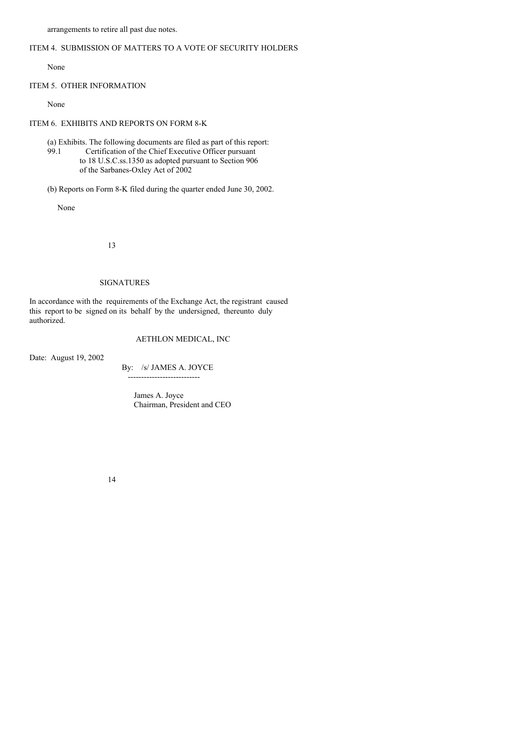arrangements to retire all past due notes.

## ITEM 4. SUBMISSION OF MATTERS TO A VOTE OF SECURITY HOLDERS

None

## ITEM 5. OTHER INFORMATION

None

## ITEM 6. EXHIBITS AND REPORTS ON FORM 8-K

(a) Exhibits. The following documents are filed as part of this report: 99.1 Certification of the Chief Executive Officer pursuant to 18 U.S.C.ss.1350 as adopted pursuant to Section 906 of the Sarbanes-Oxley Act of 2002

(b) Reports on Form 8-K filed during the quarter ended June 30, 2002.

None

13

## SIGNATURES

In accordance with the requirements of the Exchange Act, the registrant caused this report to be signed on its behalf by the undersigned, thereunto duly authorized.

# AETHLON MEDICAL, INC

Date: August 19, 2002

By: /s/ JAMES A. JOYCE ---------------------------

> James A. Joyce Chairman, President and CEO

14